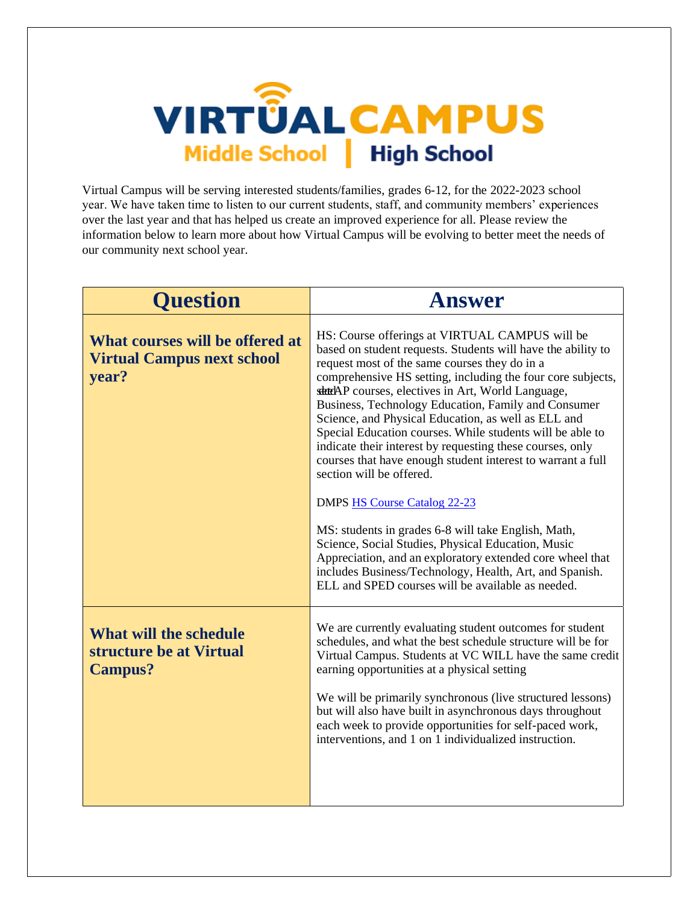

Virtual Campus will be serving interested students/families, grades 6-12, for the 2022-2023 school year. We have taken time to listen to our current students, staff, and community members' experiences over the last year and that has helped us create an improved experience for all. Please review the information below to learn more about how Virtual Campus will be evolving to better meet the needs of our community next school year.

| <b>Ouestion</b>                                                               | Answer                                                                                                                                                                                                                                                                                                                                                                                                                                                                                                                                                                                                                                                                                                                                                                                                                                                                                                                                                    |
|-------------------------------------------------------------------------------|-----------------------------------------------------------------------------------------------------------------------------------------------------------------------------------------------------------------------------------------------------------------------------------------------------------------------------------------------------------------------------------------------------------------------------------------------------------------------------------------------------------------------------------------------------------------------------------------------------------------------------------------------------------------------------------------------------------------------------------------------------------------------------------------------------------------------------------------------------------------------------------------------------------------------------------------------------------|
| What courses will be offered at<br><b>Virtual Campus next school</b><br>year? | HS: Course offerings at VIRTUAL CAMPUS will be<br>based on student requests. Students will have the ability to<br>request most of the same courses they do in a<br>comprehensive HS setting, including the four core subjects,<br>state AP courses, electives in Art, World Language,<br>Business, Technology Education, Family and Consumer<br>Science, and Physical Education, as well as ELL and<br>Special Education courses. While students will be able to<br>indicate their interest by requesting these courses, only<br>courses that have enough student interest to warrant a full<br>section will be offered.<br><b>DMPS HS Course Catalog 22-23</b><br>MS: students in grades 6-8 will take English, Math,<br>Science, Social Studies, Physical Education, Music<br>Appreciation, and an exploratory extended core wheel that<br>includes Business/Technology, Health, Art, and Spanish.<br>ELL and SPED courses will be available as needed. |
| What will the schedule<br>structure be at Virtual<br><b>Campus?</b>           | We are currently evaluating student outcomes for student<br>schedules, and what the best schedule structure will be for<br>Virtual Campus. Students at VC WILL have the same credit<br>earning opportunities at a physical setting<br>We will be primarily synchronous (live structured lessons)<br>but will also have built in asynchronous days throughout<br>each week to provide opportunities for self-paced work,<br>interventions, and 1 on 1 individualized instruction.                                                                                                                                                                                                                                                                                                                                                                                                                                                                          |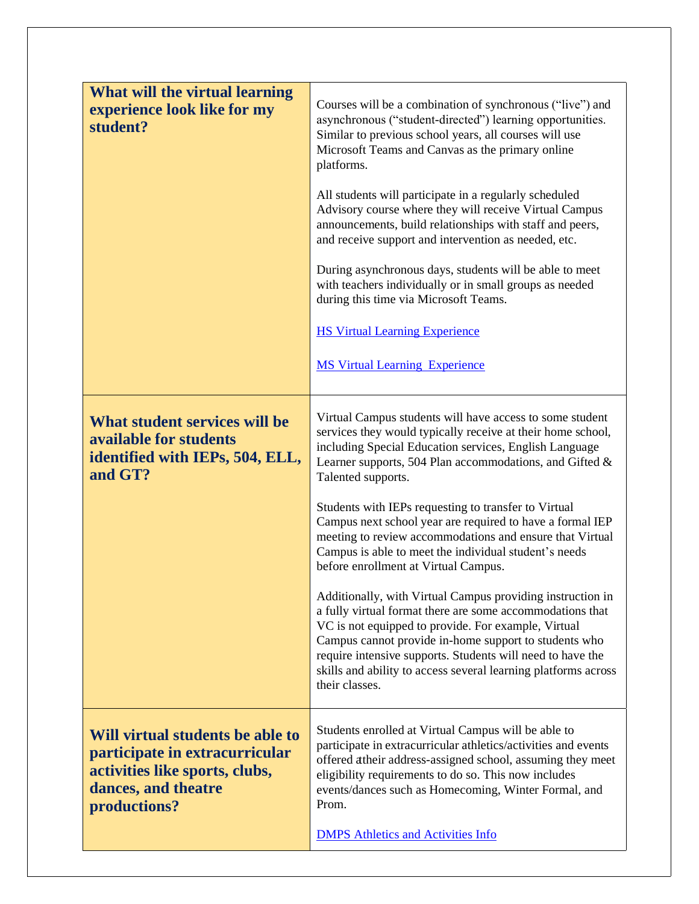| What will the virtual learning                                                                                                              |                                                                                                                                                                                                                                                                                                                                                                                           |
|---------------------------------------------------------------------------------------------------------------------------------------------|-------------------------------------------------------------------------------------------------------------------------------------------------------------------------------------------------------------------------------------------------------------------------------------------------------------------------------------------------------------------------------------------|
| experience look like for my<br>student?                                                                                                     | Courses will be a combination of synchronous ("live") and<br>asynchronous ("student-directed") learning opportunities.<br>Similar to previous school years, all courses will use<br>Microsoft Teams and Canvas as the primary online<br>platforms.                                                                                                                                        |
|                                                                                                                                             | All students will participate in a regularly scheduled<br>Advisory course where they will receive Virtual Campus<br>announcements, build relationships with staff and peers,<br>and receive support and intervention as needed, etc.                                                                                                                                                      |
|                                                                                                                                             | During asynchronous days, students will be able to meet<br>with teachers individually or in small groups as needed<br>during this time via Microsoft Teams.                                                                                                                                                                                                                               |
|                                                                                                                                             | <b>HS Virtual Learning Experience</b>                                                                                                                                                                                                                                                                                                                                                     |
|                                                                                                                                             | <b>MS Virtual Learning Experience</b>                                                                                                                                                                                                                                                                                                                                                     |
| What student services will be<br>available for students<br>identified with IEPs, 504, ELL,<br>and GT?                                       | Virtual Campus students will have access to some student<br>services they would typically receive at their home school,<br>including Special Education services, English Language<br>Learner supports, 504 Plan accommodations, and Gifted &<br>Talented supports.                                                                                                                        |
|                                                                                                                                             | Students with IEPs requesting to transfer to Virtual<br>Campus next school year are required to have a formal IEP<br>meeting to review accommodations and ensure that Virtual<br>Campus is able to meet the individual student's needs<br>before enrollment at Virtual Campus.                                                                                                            |
|                                                                                                                                             | Additionally, with Virtual Campus providing instruction in<br>a fully virtual format there are some accommodations that<br>VC is not equipped to provide. For example, Virtual<br>Campus cannot provide in-home support to students who<br>require intensive supports. Students will need to have the<br>skills and ability to access several learning platforms across<br>their classes. |
| Will virtual students be able to<br>participate in extracurricular<br>activities like sports, clubs,<br>dances, and theatre<br>productions? | Students enrolled at Virtual Campus will be able to<br>participate in extracurricular athletics/activities and events<br>offered atheir address-assigned school, assuming they meet<br>eligibility requirements to do so. This now includes<br>events/dances such as Homecoming, Winter Formal, and<br>Prom.                                                                              |
|                                                                                                                                             | <b>DMPS Athletics and Activities Info</b>                                                                                                                                                                                                                                                                                                                                                 |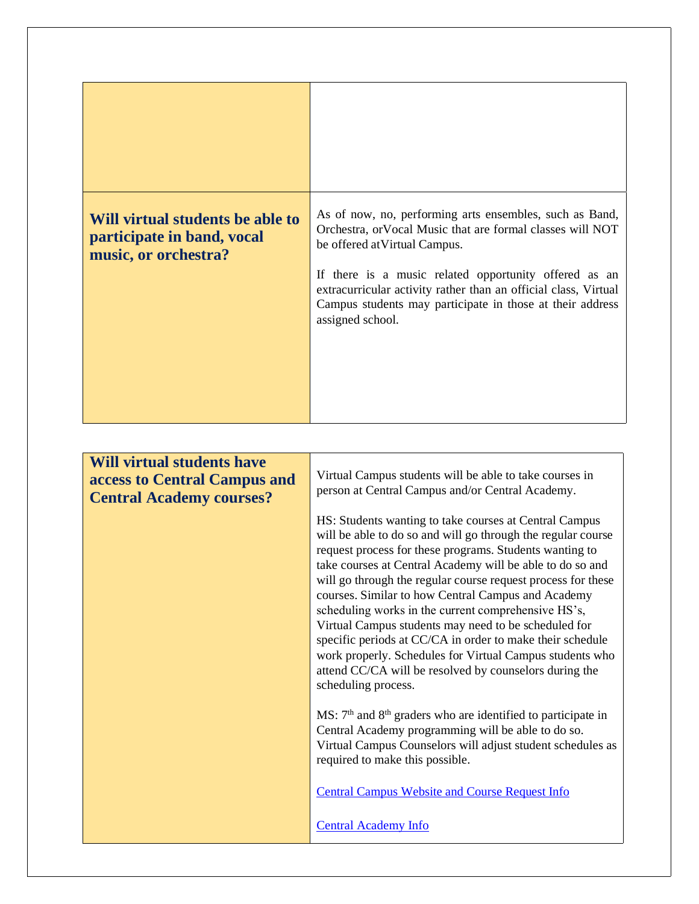| Will virtual students be able to<br>participate in band, vocal<br>music, or orchestra? | As of now, no, performing arts ensembles, such as Band,<br>Orchestra, or Vocal Music that are formal classes will NOT<br>be offered at Virtual Campus.<br>If there is a music related opportunity offered as an<br>extracurricular activity rather than an official class, Virtual<br>Campus students may participate in those at their address<br>assigned school.                                                                                                                                                                                                                                                                                                                           |
|----------------------------------------------------------------------------------------|-----------------------------------------------------------------------------------------------------------------------------------------------------------------------------------------------------------------------------------------------------------------------------------------------------------------------------------------------------------------------------------------------------------------------------------------------------------------------------------------------------------------------------------------------------------------------------------------------------------------------------------------------------------------------------------------------|
|                                                                                        |                                                                                                                                                                                                                                                                                                                                                                                                                                                                                                                                                                                                                                                                                               |
| <b>Will virtual students have</b>                                                      |                                                                                                                                                                                                                                                                                                                                                                                                                                                                                                                                                                                                                                                                                               |
| access to Central Campus and                                                           | Virtual Campus students will be able to take courses in<br>person at Central Campus and/or Central Academy.                                                                                                                                                                                                                                                                                                                                                                                                                                                                                                                                                                                   |
| <b>Central Academy courses?</b>                                                        | HS: Students wanting to take courses at Central Campus<br>will be able to do so and will go through the regular course<br>request process for these programs. Students wanting to<br>take courses at Central Academy will be able to do so and<br>will go through the regular course request process for these<br>courses. Similar to how Central Campus and Academy<br>scheduling works in the current comprehensive HS's,<br>Virtual Campus students may need to be scheduled for<br>specific periods at CC/CA in order to make their schedule<br>work properly. Schedules for Virtual Campus students who<br>attend CC/CA will be resolved by counselors during the<br>scheduling process. |
|                                                                                        | $MS: 7th$ and $8th$ graders who are identified to participate in<br>Central Academy programming will be able to do so.<br>Virtual Campus Counselors will adjust student schedules as<br>required to make this possible.                                                                                                                                                                                                                                                                                                                                                                                                                                                                       |
|                                                                                        | <b>Central Campus Website and Course Request Info</b>                                                                                                                                                                                                                                                                                                                                                                                                                                                                                                                                                                                                                                         |
|                                                                                        | <b>Central Academy Info</b>                                                                                                                                                                                                                                                                                                                                                                                                                                                                                                                                                                                                                                                                   |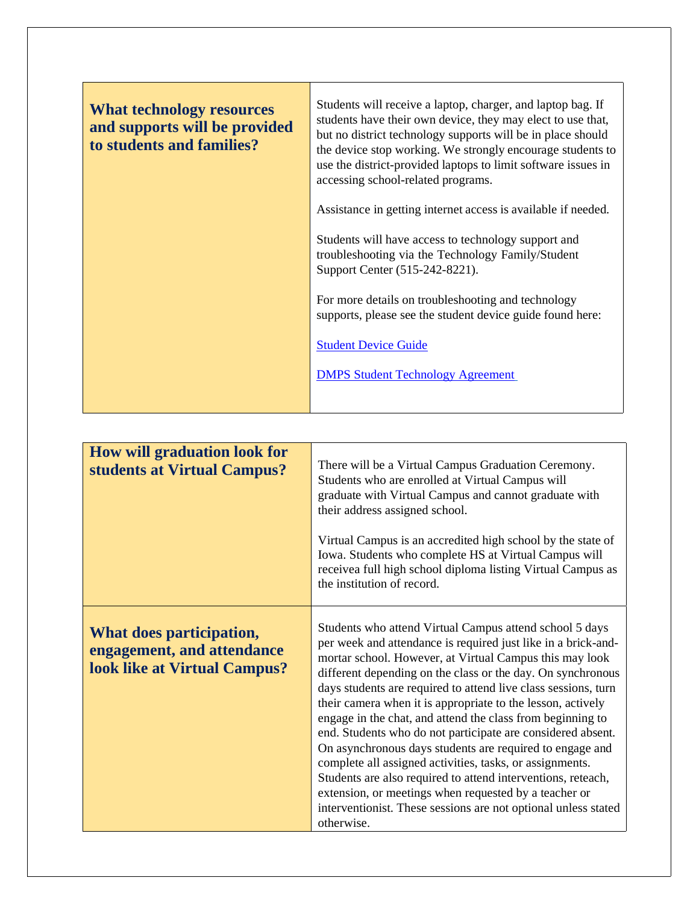| <b>What technology resources</b><br>and supports will be provided<br>to students and families? | Students will receive a laptop, charger, and laptop bag. If<br>students have their own device, they may elect to use that,<br>but no district technology supports will be in place should<br>the device stop working. We strongly encourage students to<br>use the district-provided laptops to limit software issues in<br>accessing school-related programs. |
|------------------------------------------------------------------------------------------------|----------------------------------------------------------------------------------------------------------------------------------------------------------------------------------------------------------------------------------------------------------------------------------------------------------------------------------------------------------------|
|                                                                                                | Assistance in getting internet access is available if needed.                                                                                                                                                                                                                                                                                                  |
|                                                                                                | Students will have access to technology support and<br>troubleshooting via the Technology Family/Student<br>Support Center (515-242-8221).                                                                                                                                                                                                                     |
|                                                                                                | For more details on troubleshooting and technology<br>supports, please see the student device guide found here:                                                                                                                                                                                                                                                |
|                                                                                                | <b>Student Device Guide</b>                                                                                                                                                                                                                                                                                                                                    |
|                                                                                                | <b>DMPS Student Technology Agreement</b>                                                                                                                                                                                                                                                                                                                       |
|                                                                                                |                                                                                                                                                                                                                                                                                                                                                                |

| <b>How will graduation look for</b><br>students at Virtual Campus?                            | There will be a Virtual Campus Graduation Ceremony.<br>Students who are enrolled at Virtual Campus will<br>graduate with Virtual Campus and cannot graduate with<br>their address assigned school.<br>Virtual Campus is an accredited high school by the state of<br>Iowa. Students who complete HS at Virtual Campus will<br>receivea full high school diploma listing Virtual Campus as<br>the institution of record.                                                                                                                                                                                                                                                                                                                                                                                                                           |
|-----------------------------------------------------------------------------------------------|---------------------------------------------------------------------------------------------------------------------------------------------------------------------------------------------------------------------------------------------------------------------------------------------------------------------------------------------------------------------------------------------------------------------------------------------------------------------------------------------------------------------------------------------------------------------------------------------------------------------------------------------------------------------------------------------------------------------------------------------------------------------------------------------------------------------------------------------------|
| What does participation,<br>engagement, and attendance<br><b>look like at Virtual Campus?</b> | Students who attend Virtual Campus attend school 5 days<br>per week and attendance is required just like in a brick-and-<br>mortar school. However, at Virtual Campus this may look<br>different depending on the class or the day. On synchronous<br>days students are required to attend live class sessions, turn<br>their camera when it is appropriate to the lesson, actively<br>engage in the chat, and attend the class from beginning to<br>end. Students who do not participate are considered absent.<br>On asynchronous days students are required to engage and<br>complete all assigned activities, tasks, or assignments.<br>Students are also required to attend interventions, reteach,<br>extension, or meetings when requested by a teacher or<br>interventionist. These sessions are not optional unless stated<br>otherwise. |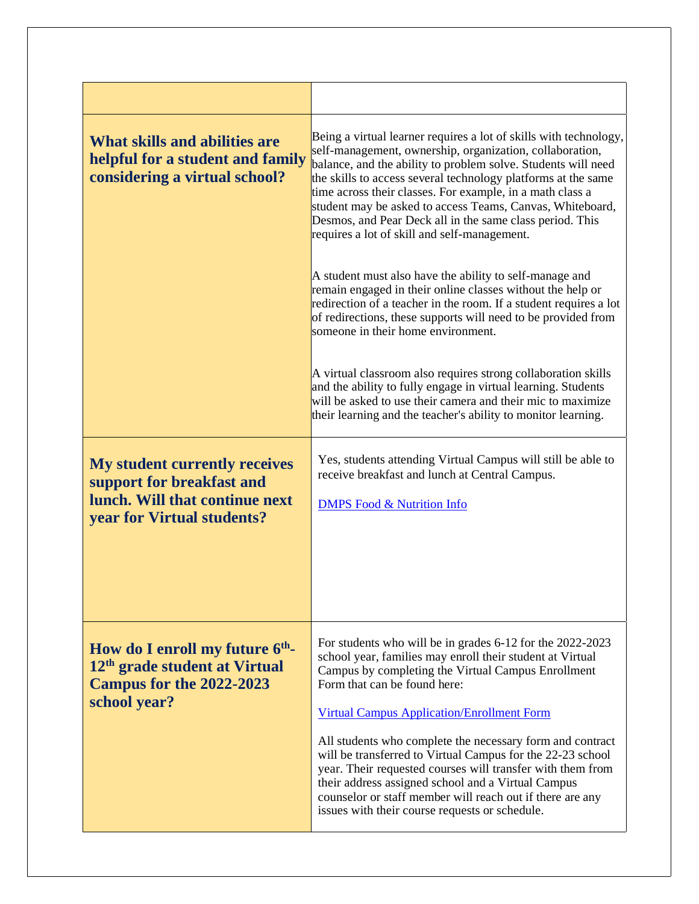| <b>What skills and abilities are</b><br>helpful for a student and family<br>considering a virtual school?                         | Being a virtual learner requires a lot of skills with technology,<br>self-management, ownership, organization, collaboration,<br>balance, and the ability to problem solve. Students will need<br>the skills to access several technology platforms at the same<br>time across their classes. For example, in a math class a<br>student may be asked to access Teams, Canvas, Whiteboard,<br>Desmos, and Pear Deck all in the same class period. This<br>requires a lot of skill and self-management. |
|-----------------------------------------------------------------------------------------------------------------------------------|-------------------------------------------------------------------------------------------------------------------------------------------------------------------------------------------------------------------------------------------------------------------------------------------------------------------------------------------------------------------------------------------------------------------------------------------------------------------------------------------------------|
|                                                                                                                                   | A student must also have the ability to self-manage and<br>remain engaged in their online classes without the help or<br>redirection of a teacher in the room. If a student requires a lot<br>of redirections, these supports will need to be provided from<br>someone in their home environment.                                                                                                                                                                                                     |
|                                                                                                                                   | A virtual classroom also requires strong collaboration skills<br>and the ability to fully engage in virtual learning. Students<br>will be asked to use their camera and their mic to maximize<br>their learning and the teacher's ability to monitor learning.                                                                                                                                                                                                                                        |
| <b>My student currently receives</b><br>support for breakfast and<br>lunch. Will that continue next<br>year for Virtual students? | Yes, students attending Virtual Campus will still be able to<br>receive breakfast and lunch at Central Campus.<br><b>DMPS</b> Food & Nutrition Info                                                                                                                                                                                                                                                                                                                                                   |
| How do I enroll my future $6th$ -<br>12 <sup>th</sup> grade student at Virtual<br><b>Campus for the 2022-2023</b><br>school year? | For students who will be in grades 6-12 for the 2022-2023<br>school year, families may enroll their student at Virtual<br>Campus by completing the Virtual Campus Enrollment<br>Form that can be found here:<br><b>Virtual Campus Application/Enrollment Form</b><br>All students who complete the necessary form and contract<br>will be transferred to Virtual Campus for the 22-23 school<br>year. Their requested courses will transfer with them from                                            |
|                                                                                                                                   | their address assigned school and a Virtual Campus<br>counselor or staff member will reach out if there are any<br>issues with their course requests or schedule.                                                                                                                                                                                                                                                                                                                                     |